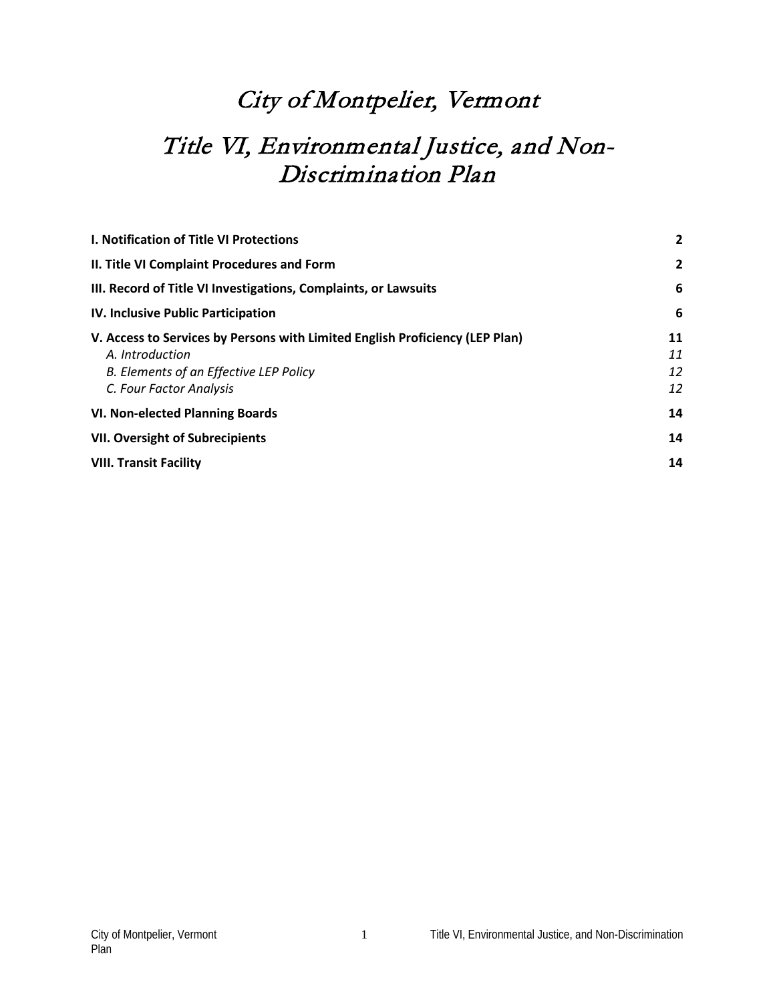# City of Montpelier, Vermont

# Title VI, Environmental Justice, and Non-Discrimination Plan

| I. Notification of Title VI Protections                                      | $\overline{2}$ |
|------------------------------------------------------------------------------|----------------|
| II. Title VI Complaint Procedures and Form                                   | $\mathbf{2}$   |
| III. Record of Title VI Investigations, Complaints, or Lawsuits              | 6              |
| <b>IV. Inclusive Public Participation</b>                                    | 6              |
| V. Access to Services by Persons with Limited English Proficiency (LEP Plan) | 11             |
| A. Introduction                                                              | 11             |
| B. Elements of an Effective LEP Policy                                       | 12             |
| C. Four Factor Analysis                                                      | 12             |
| <b>VI. Non-elected Planning Boards</b>                                       | 14             |
| <b>VII. Oversight of Subrecipients</b>                                       | 14             |
| <b>VIII. Transit Facility</b>                                                | 14             |
|                                                                              |                |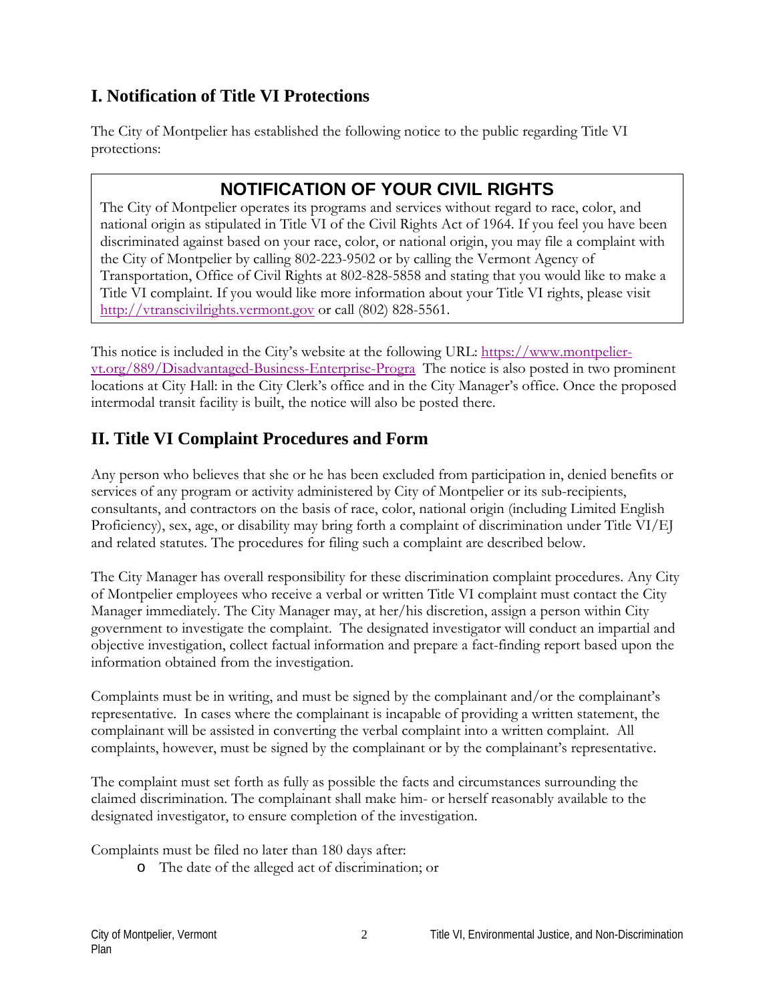# **I. Notification of Title VI Protections**

The City of Montpelier has established the following notice to the public regarding Title VI protections:

# **NOTIFICATION OF YOUR CIVIL RIGHTS**

The City of Montpelier operates its programs and services without regard to race, color, and national origin as stipulated in Title VI of the Civil Rights Act of 1964. If you feel you have been discriminated against based on your race, color, or national origin, you may file a complaint with the City of Montpelier by calling 802-223-9502 or by calling the Vermont Agency of Transportation, Office of Civil Rights at 802-828-5858 and stating that you would like to make a Title VI complaint. If you would like more information about your Title VI rights, please visit [http://vtranscivilrights.vermont.gov](http://vtranscivilrights.vermont.gov/) or call (802) 828-5561.

This notice is included in the City's website at the following URL: [https://www.montpelier](https://www.montpelier-vt.org/889/Disadvantaged-Business-Enterprise-Progra)[vt.org/889/Disadvantaged-Business-Enterprise-Progra](https://www.montpelier-vt.org/889/Disadvantaged-Business-Enterprise-Progra) The notice is also posted in two prominent locations at City Hall: in the City Clerk's office and in the City Manager's office. Once the proposed intermodal transit facility is built, the notice will also be posted there.

# **II. Title VI Complaint Procedures and Form**

Any person who believes that she or he has been excluded from participation in, denied benefits or services of any program or activity administered by City of Montpelier or its sub-recipients, consultants, and contractors on the basis of race, color, national origin (including Limited English Proficiency), sex, age, or disability may bring forth a complaint of discrimination under Title VI/EJ and related statutes. The procedures for filing such a complaint are described below.

The City Manager has overall responsibility for these discrimination complaint procedures. Any City of Montpelier employees who receive a verbal or written Title VI complaint must contact the City Manager immediately. The City Manager may, at her/his discretion, assign a person within City government to investigate the complaint. The designated investigator will conduct an impartial and objective investigation, collect factual information and prepare a fact-finding report based upon the information obtained from the investigation.

Complaints must be in writing, and must be signed by the complainant and/or the complainant's representative. In cases where the complainant is incapable of providing a written statement, the complainant will be assisted in converting the verbal complaint into a written complaint. All complaints, however, must be signed by the complainant or by the complainant's representative.

The complaint must set forth as fully as possible the facts and circumstances surrounding the claimed discrimination. The complainant shall make him- or herself reasonably available to the designated investigator, to ensure completion of the investigation.

Complaints must be filed no later than 180 days after:

o The date of the alleged act of discrimination; or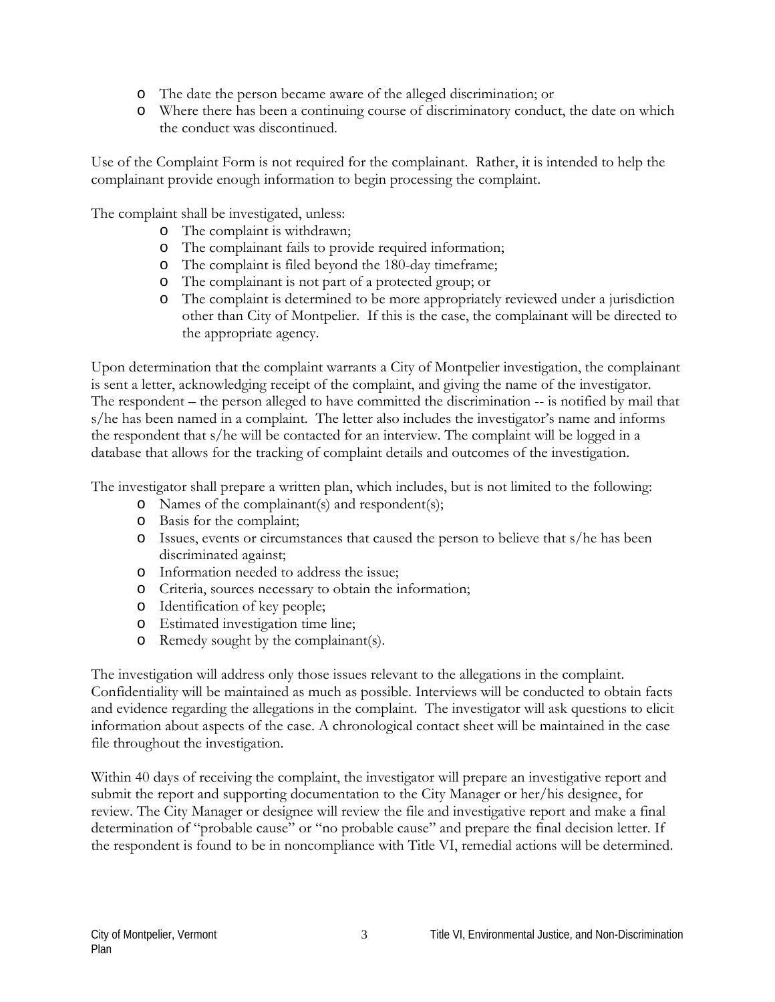- o The date the person became aware of the alleged discrimination; or
- o Where there has been a continuing course of discriminatory conduct, the date on which the conduct was discontinued.

Use of the Complaint Form is not required for the complainant. Rather, it is intended to help the complainant provide enough information to begin processing the complaint.

The complaint shall be investigated, unless:

- o The complaint is withdrawn;
- o The complainant fails to provide required information;
- o The complaint is filed beyond the 180-day timeframe;
- o The complainant is not part of a protected group; or
- o The complaint is determined to be more appropriately reviewed under a jurisdiction other than City of Montpelier. If this is the case, the complainant will be directed to the appropriate agency.

Upon determination that the complaint warrants a City of Montpelier investigation, the complainant is sent a letter, acknowledging receipt of the complaint, and giving the name of the investigator. The respondent – the person alleged to have committed the discrimination -- is notified by mail that s/he has been named in a complaint. The letter also includes the investigator's name and informs the respondent that s/he will be contacted for an interview. The complaint will be logged in a database that allows for the tracking of complaint details and outcomes of the investigation.

The investigator shall prepare a written plan, which includes, but is not limited to the following:

- o Names of the complainant(s) and respondent(s);
- o Basis for the complaint;
- o Issues, events or circumstances that caused the person to believe that s/he has been discriminated against;
- o Information needed to address the issue;
- o Criteria, sources necessary to obtain the information;
- o Identification of key people;
- o Estimated investigation time line;
- o Remedy sought by the complainant(s).

The investigation will address only those issues relevant to the allegations in the complaint. Confidentiality will be maintained as much as possible. Interviews will be conducted to obtain facts and evidence regarding the allegations in the complaint. The investigator will ask questions to elicit information about aspects of the case. A chronological contact sheet will be maintained in the case file throughout the investigation.

Within 40 days of receiving the complaint, the investigator will prepare an investigative report and submit the report and supporting documentation to the City Manager or her/his designee, for review. The City Manager or designee will review the file and investigative report and make a final determination of "probable cause" or "no probable cause" and prepare the final decision letter. If the respondent is found to be in noncompliance with Title VI, remedial actions will be determined.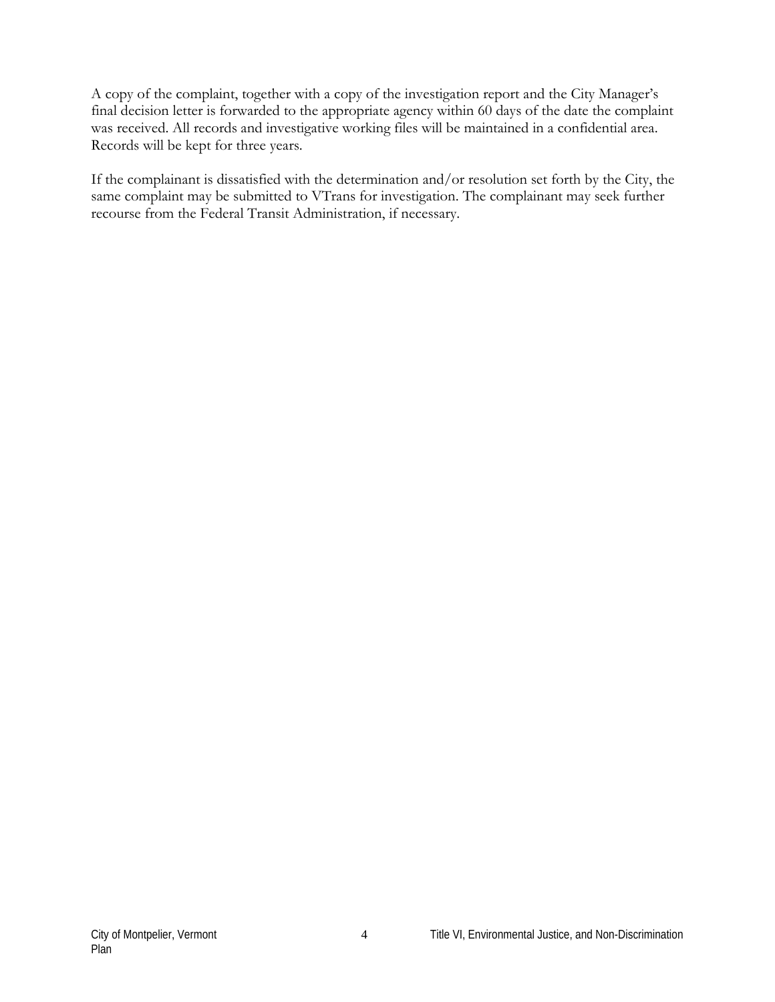A copy of the complaint, together with a copy of the investigation report and the City Manager's final decision letter is forwarded to the appropriate agency within 60 days of the date the complaint was received. All records and investigative working files will be maintained in a confidential area. Records will be kept for three years.

If the complainant is dissatisfied with the determination and/or resolution set forth by the City, the same complaint may be submitted to VTrans for investigation. The complainant may seek further recourse from the Federal Transit Administration, if necessary.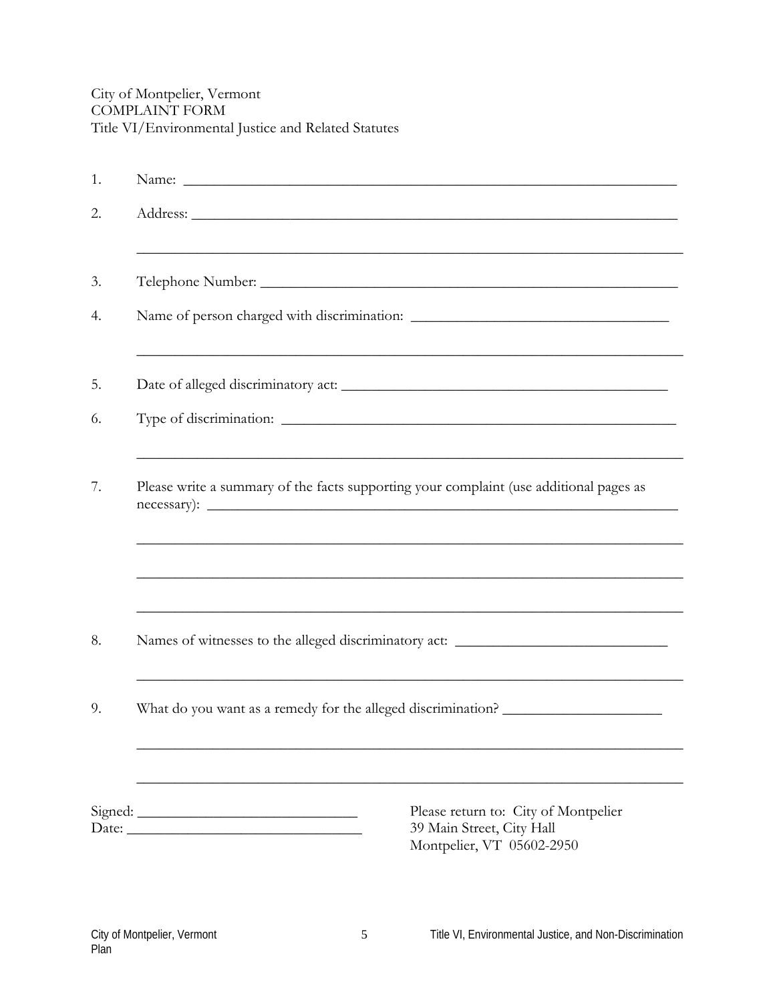| 1. |                                                                                                |  |  |
|----|------------------------------------------------------------------------------------------------|--|--|
| 2. |                                                                                                |  |  |
| 3. |                                                                                                |  |  |
| 4. |                                                                                                |  |  |
| 5. |                                                                                                |  |  |
| 6. |                                                                                                |  |  |
| 7. | Please write a summary of the facts supporting your complaint (use additional pages as         |  |  |
|    |                                                                                                |  |  |
| 8. | Names of witnesses to the alleged discriminatory act: ___________________________              |  |  |
| 9. | What do you want as a remedy for the alleged discrimination?                                   |  |  |
|    |                                                                                                |  |  |
|    | Please return to: City of Montpelier<br>39 Main Street, City Hall<br>Montpelier, VT 05602-2950 |  |  |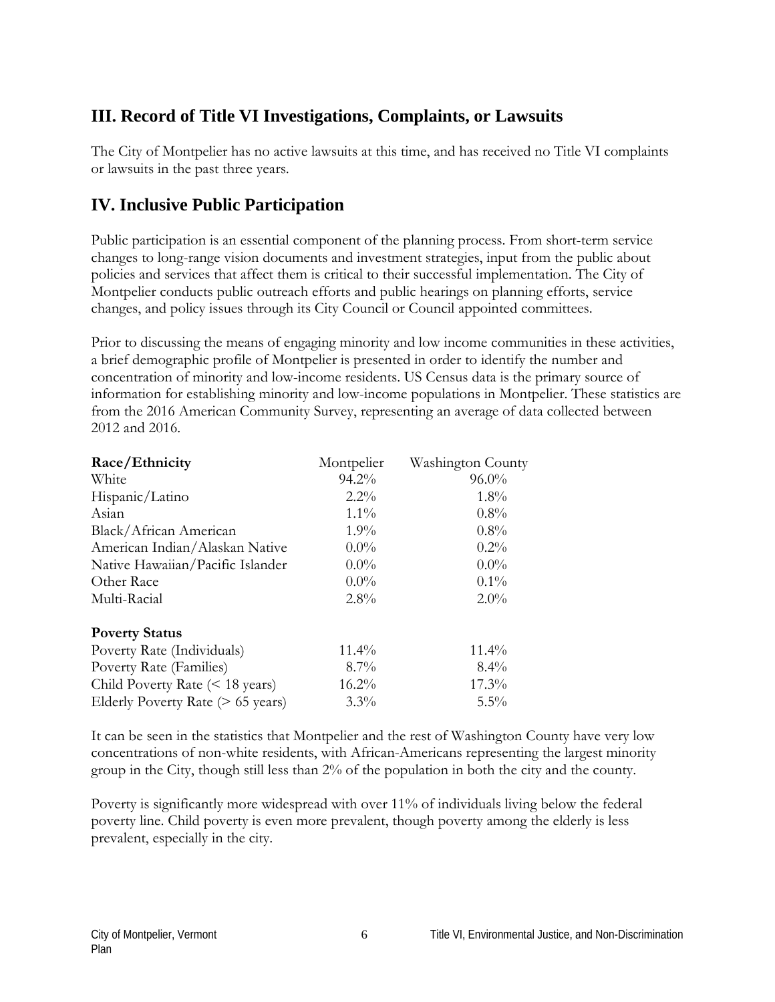# **III. Record of Title VI Investigations, Complaints, or Lawsuits**

The City of Montpelier has no active lawsuits at this time, and has received no Title VI complaints or lawsuits in the past three years.

## **IV. Inclusive Public Participation**

Public participation is an essential component of the planning process. From short-term service changes to long-range vision documents and investment strategies, input from the public about policies and services that affect them is critical to their successful implementation. The City of Montpelier conducts public outreach efforts and public hearings on planning efforts, service changes, and policy issues through its City Council or Council appointed committees.

Prior to discussing the means of engaging minority and low income communities in these activities, a brief demographic profile of Montpelier is presented in order to identify the number and concentration of minority and low-income residents. US Census data is the primary source of information for establishing minority and low-income populations in Montpelier. These statistics are from the 2016 American Community Survey, representing an average of data collected between 2012 and 2016.

| Race/Ethnicity                          | Montpelier | Washington County |
|-----------------------------------------|------------|-------------------|
| White                                   | $94.2\%$   | $96.0\%$          |
| Hispanic/Latino                         | $2.2\%$    | $1.8\%$           |
| Asian                                   | $1.1\%$    | $0.8\%$           |
| Black/African American                  | $1.9\%$    | $0.8\%$           |
| American Indian/Alaskan Native          | $0.0\%$    | $0.2\%$           |
| Native Hawaiian/Pacific Islander        | $0.0\%$    | $0.0\%$           |
| Other Race                              | $0.0\%$    | $0.1\%$           |
| Multi-Racial                            | $2.8\%$    | $2.0\%$           |
| <b>Poverty Status</b>                   |            |                   |
| Poverty Rate (Individuals)              | $11.4\%$   | $11.4\%$          |
| Poverty Rate (Families)                 | $8.7\%$    | $8.4\%$           |
| Child Poverty Rate $(< 18$ years)       | $16.2\%$   | $17.3\%$          |
| Elderly Poverty Rate $($ > 65 years $)$ | $3.3\%$    | $5.5\%$           |

It can be seen in the statistics that Montpelier and the rest of Washington County have very low concentrations of non-white residents, with African-Americans representing the largest minority group in the City, though still less than 2% of the population in both the city and the county.

Poverty is significantly more widespread with over 11% of individuals living below the federal poverty line. Child poverty is even more prevalent, though poverty among the elderly is less prevalent, especially in the city.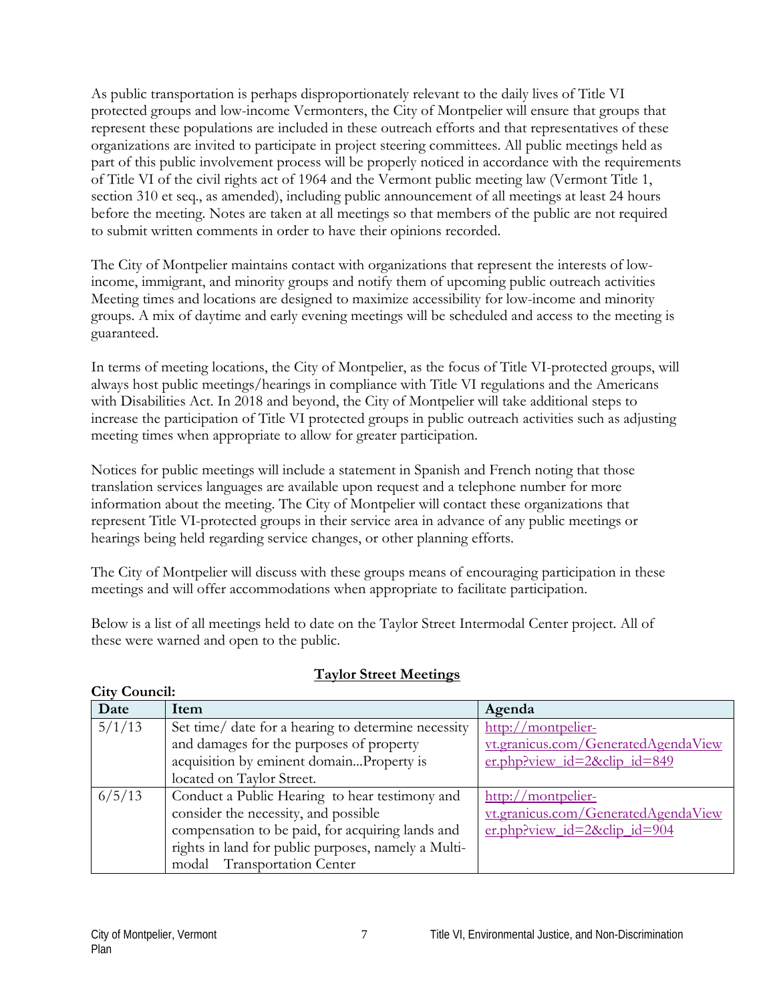As public transportation is perhaps disproportionately relevant to the daily lives of Title VI protected groups and low-income Vermonters, the City of Montpelier will ensure that groups that represent these populations are included in these outreach efforts and that representatives of these organizations are invited to participate in project steering committees. All public meetings held as part of this public involvement process will be properly noticed in accordance with the requirements of Title VI of the civil rights act of 1964 and the Vermont public meeting law (Vermont Title 1, section 310 et seq., as amended), including public announcement of all meetings at least 24 hours before the meeting. Notes are taken at all meetings so that members of the public are not required to submit written comments in order to have their opinions recorded.

The City of Montpelier maintains contact with organizations that represent the interests of lowincome, immigrant, and minority groups and notify them of upcoming public outreach activities Meeting times and locations are designed to maximize accessibility for low-income and minority groups. A mix of daytime and early evening meetings will be scheduled and access to the meeting is guaranteed.

In terms of meeting locations, the City of Montpelier, as the focus of Title VI-protected groups, will always host public meetings/hearings in compliance with Title VI regulations and the Americans with Disabilities Act. In 2018 and beyond, the City of Montpelier will take additional steps to increase the participation of Title VI protected groups in public outreach activities such as adjusting meeting times when appropriate to allow for greater participation.

Notices for public meetings will include a statement in Spanish and French noting that those translation services languages are available upon request and a telephone number for more information about the meeting. The City of Montpelier will contact these organizations that represent Title VI-protected groups in their service area in advance of any public meetings or hearings being held regarding service changes, or other planning efforts.

The City of Montpelier will discuss with these groups means of encouraging participation in these meetings and will offer accommodations when appropriate to facilitate participation.

Below is a list of all meetings held to date on the Taylor Street Intermodal Center project. All of these were warned and open to the public.

| Date   | Item                                                | Agenda                              |
|--------|-----------------------------------------------------|-------------------------------------|
| 5/1/13 | Set time/ date for a hearing to determine necessity | http://montpelier-                  |
|        | and damages for the purposes of property            | vt.granicus.com/GeneratedAgendaView |
|        | acquisition by eminent domainProperty is            | er.php?view id=2&clip id=849        |
|        | located on Taylor Street.                           |                                     |
| 6/5/13 | Conduct a Public Hearing to hear testimony and      | http://montpelier-                  |
|        | consider the necessity, and possible                | vt.granicus.com/GeneratedAgendaView |
|        | compensation to be paid, for acquiring lands and    | er.php?view id=2&clip id=904        |
|        | rights in land for public purposes, namely a Multi- |                                     |
|        | modal Transportation Center                         |                                     |

#### **Taylor Street Meetings**

**City Council:**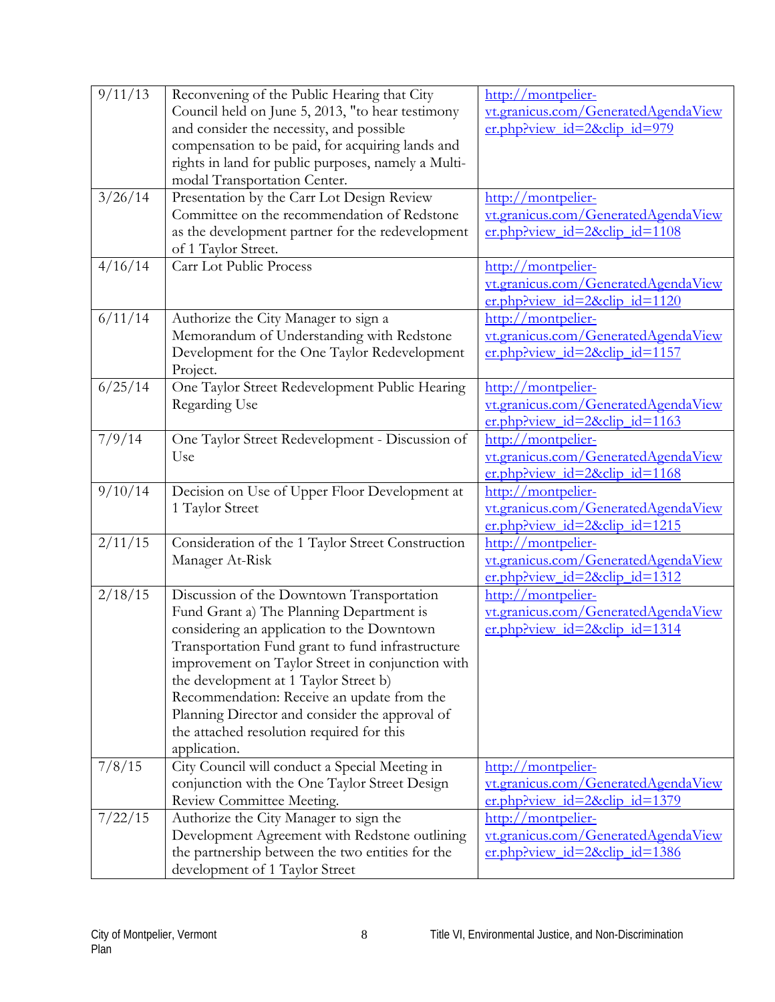| 9/11/13 | Reconvening of the Public Hearing that City         | http://montpelier-                  |
|---------|-----------------------------------------------------|-------------------------------------|
|         | Council held on June 5, 2013, "to hear testimony    | vt.granicus.com/GeneratedAgendaView |
|         | and consider the necessity, and possible            | $er.$ php?view id=2&clip id=979     |
|         | compensation to be paid, for acquiring lands and    |                                     |
|         | rights in land for public purposes, namely a Multi- |                                     |
|         | modal Transportation Center.                        |                                     |
| 3/26/14 | Presentation by the Carr Lot Design Review          | http://montpelier-                  |
|         | Committee on the recommendation of Redstone         | vt.granicus.com/GeneratedAgendaView |
|         | as the development partner for the redevelopment    | er.php?view_id=2&clip_id=1108       |
|         | of 1 Taylor Street.                                 |                                     |
| 4/16/14 | Carr Lot Public Process                             | http://montpelier-                  |
|         |                                                     | vt.granicus.com/GeneratedAgendaView |
|         |                                                     | er.php?view id=2&clip id=1120       |
|         |                                                     |                                     |
| 6/11/14 | Authorize the City Manager to sign a                | http://montpelier-                  |
|         | Memorandum of Understanding with Redstone           | vt.granicus.com/GeneratedAgendaView |
|         | Development for the One Taylor Redevelopment        | $er.$ php?view id=2&clip id=1157    |
|         | Project.                                            |                                     |
| 6/25/14 | One Taylor Street Redevelopment Public Hearing      | http://montpelier-                  |
|         | Regarding Use                                       | vt.granicus.com/GeneratedAgendaView |
|         |                                                     | $er.php?view_id=2\&clip_id=1163$    |
| 7/9/14  | One Taylor Street Redevelopment - Discussion of     | http://montpelier-                  |
|         | Use                                                 | vt.granicus.com/GeneratedAgendaView |
|         |                                                     | er.php?view id=2&clip id=1168       |
| 9/10/14 | Decision on Use of Upper Floor Development at       | http://montpelier-                  |
|         | 1 Taylor Street                                     | vt.granicus.com/GeneratedAgendaView |
|         |                                                     | er.php?view id=2&clip id=1215       |
| 2/11/15 | Consideration of the 1 Taylor Street Construction   | http://montpelier-                  |
|         | Manager At-Risk                                     | vt.granicus.com/GeneratedAgendaView |
|         |                                                     | $er.$ php?view_id=2&clip_id=1312    |
| 2/18/15 | Discussion of the Downtown Transportation           | http://montpelier-                  |
|         | Fund Grant a) The Planning Department is            | vt.granicus.com/GeneratedAgendaView |
|         |                                                     |                                     |
|         | considering an application to the Downtown          | $er.$ php?view id=2&clip id=1314    |
|         | Transportation Fund grant to fund infrastructure    |                                     |
|         | improvement on Taylor Street in conjunction with    |                                     |
|         | the development at 1 Taylor Street b)               |                                     |
|         | Recommendation: Receive an update from the          |                                     |
|         | Planning Director and consider the approval of      |                                     |
|         | the attached resolution required for this           |                                     |
|         | application.                                        |                                     |
| 7/8/15  | City Council will conduct a Special Meeting in      | http://montpelier-                  |
|         | conjunction with the One Taylor Street Design       | vt.granicus.com/GeneratedAgendaView |
|         | Review Committee Meeting.                           | $er.$ php?view id=2&clip id=1379    |
| 7/22/15 | Authorize the City Manager to sign the              | http://montpelier-                  |
|         | Development Agreement with Redstone outlining       | vt.granicus.com/GeneratedAgendaView |
|         | the partnership between the two entities for the    | $er.$ php?view id=2&clip id=1386    |
|         |                                                     |                                     |
|         | development of 1 Taylor Street                      |                                     |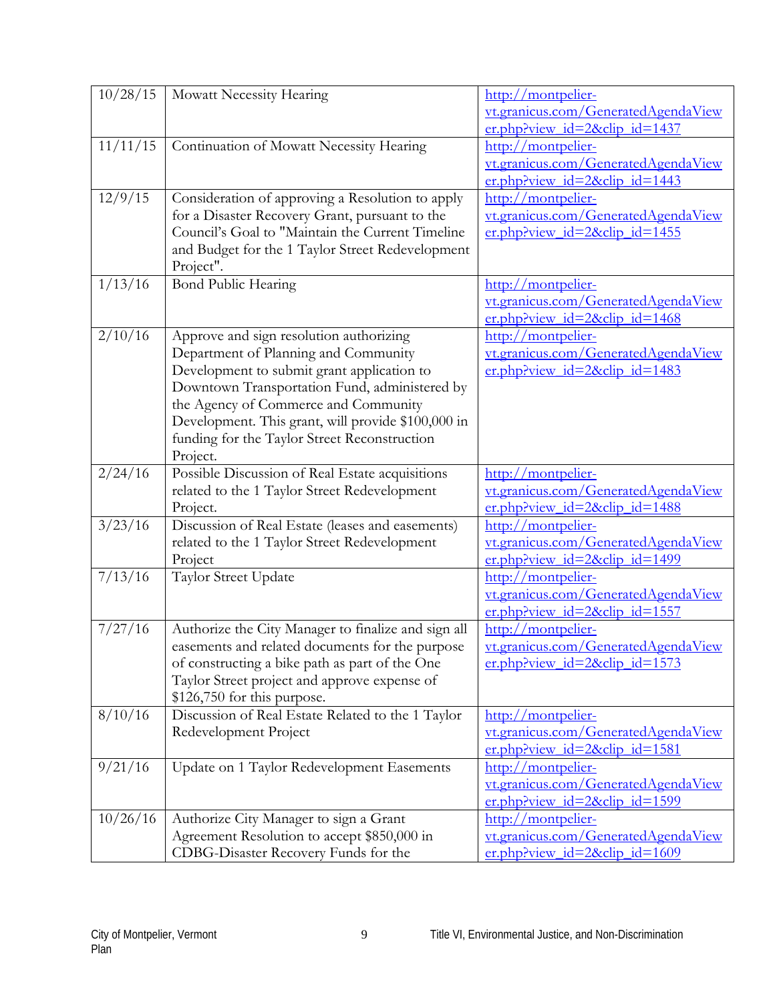| 10/28/15 | Mowatt Necessity Hearing                            | http://montpelier-                  |
|----------|-----------------------------------------------------|-------------------------------------|
|          |                                                     | vt.granicus.com/GeneratedAgendaView |
|          |                                                     | $er.$ php?view id=2&clip id=1437    |
| 11/11/15 | Continuation of Mowatt Necessity Hearing            | http://montpelier-                  |
|          |                                                     | vt.granicus.com/GeneratedAgendaView |
|          |                                                     | er.php?view id=2&clip id=1443       |
| 12/9/15  | Consideration of approving a Resolution to apply    | http://montpelier-                  |
|          | for a Disaster Recovery Grant, pursuant to the      | vt.granicus.com/GeneratedAgendaView |
|          | Council's Goal to "Maintain the Current Timeline    | er.php?view id=2&clip id=1455       |
|          | and Budget for the 1 Taylor Street Redevelopment    |                                     |
|          | Project".                                           |                                     |
| 1/13/16  | Bond Public Hearing                                 | http://montpelier-                  |
|          |                                                     | vt.granicus.com/GeneratedAgendaView |
|          |                                                     | $er.php?view$ id=2&clip id=1468     |
| 2/10/16  | Approve and sign resolution authorizing             | http://montpelier-                  |
|          | Department of Planning and Community                | vt.granicus.com/GeneratedAgendaView |
|          | Development to submit grant application to          | $er.$ php?view id=2&clip id=1483    |
|          | Downtown Transportation Fund, administered by       |                                     |
|          | the Agency of Commerce and Community                |                                     |
|          | Development. This grant, will provide \$100,000 in  |                                     |
|          | funding for the Taylor Street Reconstruction        |                                     |
|          | Project.                                            |                                     |
| 2/24/16  | Possible Discussion of Real Estate acquisitions     | http://montpelier-                  |
|          | related to the 1 Taylor Street Redevelopment        | vt.granicus.com/GeneratedAgendaView |
|          | Project.                                            | er.php?view id=2&clip id=1488       |
| 3/23/16  | Discussion of Real Estate (leases and easements)    | http://montpelier-                  |
|          | related to the 1 Taylor Street Redevelopment        | vt.granicus.com/GeneratedAgendaView |
|          | Project                                             | $er.$ php?view id=2&clip id=1499    |
| 7/13/16  | Taylor Street Update                                | http://montpelier-                  |
|          |                                                     | vt.granicus.com/GeneratedAgendaView |
|          |                                                     | $er.$ php?view_id=2&clip_id=1557    |
| 7/27/16  | Authorize the City Manager to finalize and sign all | http://montpelier-                  |
|          | easements and related documents for the purpose     | vt.granicus.com/GeneratedAgendaView |
|          | of constructing a bike path as part of the One      | er.php?view id=2&clip id=1573       |
|          | Taylor Street project and approve expense of        |                                     |
|          | \$126,750 for this purpose.                         |                                     |
| 8/10/16  | Discussion of Real Estate Related to the 1 Taylor   | http://montpelier-                  |
|          | Redevelopment Project                               | vt.granicus.com/GeneratedAgendaView |
|          |                                                     | er.php?view id=2&clip id=1581       |
| 9/21/16  | Update on 1 Taylor Redevelopment Easements          | http://montpelier-                  |
|          |                                                     | vt.granicus.com/GeneratedAgendaView |
|          |                                                     | er.php?view_id=2&clip_id=1599       |
| 10/26/16 | Authorize City Manager to sign a Grant              | http://montpelier-                  |
|          | Agreement Resolution to accept \$850,000 in         | vt.granicus.com/GeneratedAgendaView |
|          | CDBG-Disaster Recovery Funds for the                | $er.$ php?view id=2&clip id=1609    |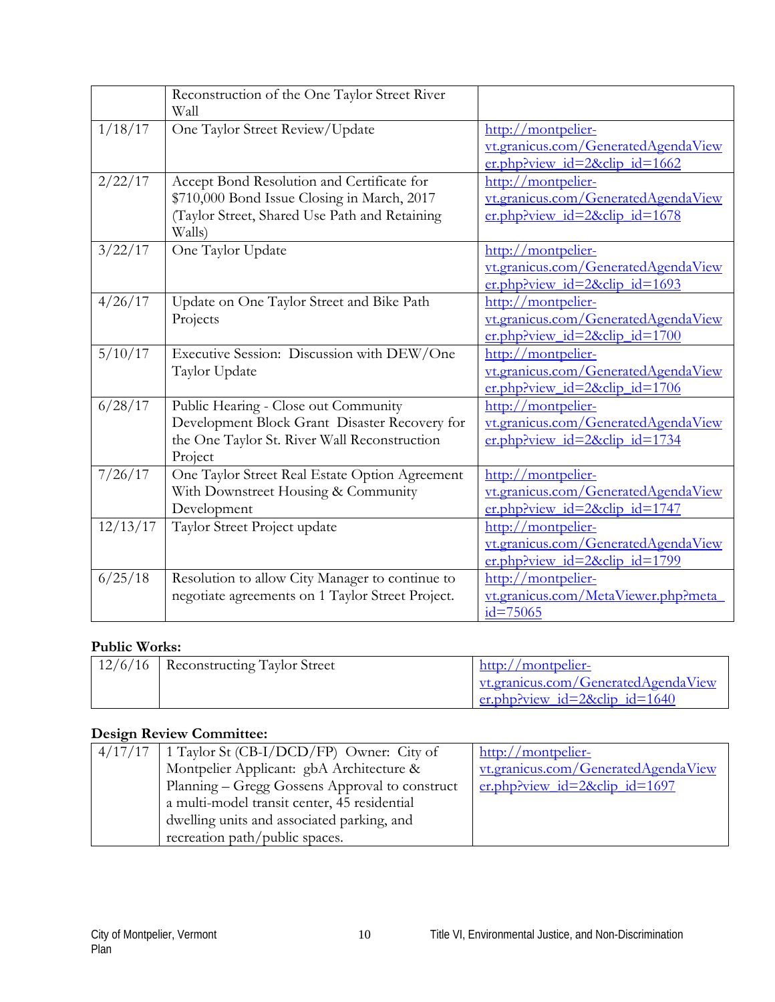|          | Reconstruction of the One Taylor Street River<br>Wall   |                                     |
|----------|---------------------------------------------------------|-------------------------------------|
| 1/18/17  | One Taylor Street Review/Update                         | http://montpelier-                  |
|          |                                                         | vt.granicus.com/GeneratedAgendaView |
|          |                                                         | $er.php$ ?view_id=2&clip_id=1662    |
| 2/22/17  | Accept Bond Resolution and Certificate for              | http://montpelier-                  |
|          | \$710,000 Bond Issue Closing in March, 2017             | vt.granicus.com/GeneratedAgendaView |
|          | (Taylor Street, Shared Use Path and Retaining<br>Walls) | er.php?view id=2&clip id=1678       |
| 3/22/17  | One Taylor Update                                       | http://montpelier-                  |
|          |                                                         | vt.granicus.com/GeneratedAgendaView |
|          |                                                         | er.php?view id=2&clip id=1693       |
| 4/26/17  | Update on One Taylor Street and Bike Path               | http://montpelier-                  |
|          | Projects                                                | vt.granicus.com/GeneratedAgendaView |
|          |                                                         | $er.$ php?view id=2&clip id=1700    |
| 5/10/17  | Executive Session: Discussion with DEW/One              | http://montpelier-                  |
|          | Taylor Update                                           | vt.granicus.com/GeneratedAgendaView |
|          |                                                         | er.php?view id=2&clip id=1706       |
| 6/28/17  | Public Hearing - Close out Community                    | http://montpelier-                  |
|          | Development Block Grant Disaster Recovery for           | vt.granicus.com/GeneratedAgendaView |
|          | the One Taylor St. River Wall Reconstruction            | er.php?view id=2&clip id=1734       |
|          | Project                                                 |                                     |
| 7/26/17  | One Taylor Street Real Estate Option Agreement          | http://montpelier-                  |
|          | With Downstreet Housing & Community                     | vt.granicus.com/GeneratedAgendaView |
|          | Development                                             | er.php?view_id=2&clip_id=1747       |
| 12/13/17 | Taylor Street Project update                            | http://montpelier-                  |
|          |                                                         | vt.granicus.com/GeneratedAgendaView |
|          |                                                         | $er.php$ ?view id=2&clip id=1799    |
| 6/25/18  | Resolution to allow City Manager to continue to         | http://montpelier-                  |
|          | negotiate agreements on 1 Taylor Street Project.        | vt.granicus.com/MetaViewer.php?meta |
|          |                                                         | $id = 75065$                        |

### **Public Works:**

| 12/6/16   Reconstructing Taylor Street | http://montpelier-                         |
|----------------------------------------|--------------------------------------------|
|                                        | <u>vt.granicus.com/GeneratedAgendaView</u> |
|                                        | er.php?view id=2&clip id=1640              |

### **Design Review Committee:**

| $4/17/17$   1 Taylor St (CB-I/DCD/FP) Owner: City of | http://montpelier-                  |
|------------------------------------------------------|-------------------------------------|
| Montpelier Applicant: gbA Architecture &             | vt.granicus.com/GeneratedAgendaView |
| Planning – Gregg Gossens Approval to construct       | $er.$ php?view_id=2&clip_id=1697    |
| a multi-model transit center, 45 residential         |                                     |
| dwelling units and associated parking, and           |                                     |
| recreation path/public spaces.                       |                                     |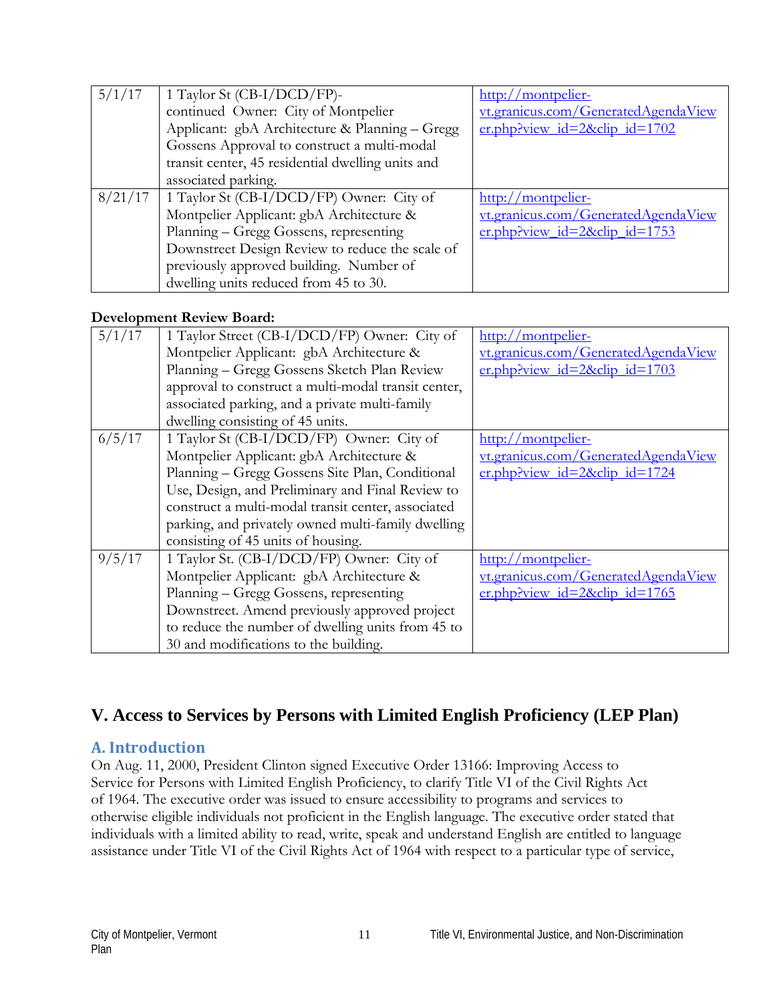| 5/1/17  | 1 Taylor St (CB-I/DCD/FP)-                        | http://montpelier-                  |
|---------|---------------------------------------------------|-------------------------------------|
|         | continued Owner: City of Montpelier               | vt.granicus.com/GeneratedAgendaView |
|         | Applicant: gbA Architecture & Planning - Gregg    | er.php?view id=2&clip id=1702       |
|         | Gossens Approval to construct a multi-modal       |                                     |
|         | transit center, 45 residential dwelling units and |                                     |
|         | associated parking.                               |                                     |
| 8/21/17 | 1 Taylor St (CB-I/DCD/FP) Owner: City of          | http://montpelier-                  |
|         | Montpelier Applicant: gbA Architecture &          | vt.granicus.com/GeneratedAgendaView |
|         | Planning - Gregg Gossens, representing            | er.php?view_id=2&clip_id=1753       |
|         | Downstreet Design Review to reduce the scale of   |                                     |
|         | previously approved building. Number of           |                                     |
|         | dwelling units reduced from 45 to 30.             |                                     |

#### **Development Review Board:**

| 5/1/17 | 1 Taylor Street (CB-I/DCD/FP) Owner: City of        | http://montpelier-                    |
|--------|-----------------------------------------------------|---------------------------------------|
|        | Montpelier Applicant: gbA Architecture &            | vt.granicus.com/GeneratedAgendaView   |
|        |                                                     |                                       |
|        | Planning - Gregg Gossens Sketch Plan Review         | er.php?view id=2&clip id=1703         |
|        | approval to construct a multi-modal transit center, |                                       |
|        | associated parking, and a private multi-family      |                                       |
|        | dwelling consisting of 45 units.                    |                                       |
| 6/5/17 | 1 Taylor St (CB-I/DCD/FP) Owner: City of            | http://montpelier-                    |
|        | Montpelier Applicant: gbA Architecture &            | vt.granicus.com/GeneratedAgendaView   |
|        | Planning - Gregg Gossens Site Plan, Conditional     | er.php?view id= $2\&$ clip id= $1724$ |
|        | Use, Design, and Preliminary and Final Review to    |                                       |
|        | construct a multi-modal transit center, associated  |                                       |
|        | parking, and privately owned multi-family dwelling  |                                       |
|        | consisting of 45 units of housing.                  |                                       |
| 9/5/17 | 1 Taylor St. (CB-I/DCD/FP) Owner: City of           | http://montpelier-                    |
|        | Montpelier Applicant: gbA Architecture &            | vt.granicus.com/GeneratedAgendaView   |
|        | Planning - Gregg Gossens, representing              | er.php?view id= $2\&$ clip id= $1765$ |
|        | Downstreet. Amend previously approved project       |                                       |
|        | to reduce the number of dwelling units from 45 to   |                                       |
|        | 30 and modifications to the building.               |                                       |

## **V. Access to Services by Persons with Limited English Proficiency (LEP Plan)**

#### **A. Introduction**

On Aug. 11, 2000, President Clinton signed Executive Order 13166: Improving Access to Service for Persons with Limited English Proficiency, to clarify Title VI of the Civil Rights Act of 1964. The executive order was issued to ensure accessibility to programs and services to otherwise eligible individuals not proficient in the English language. The executive order stated that individuals with a limited ability to read, write, speak and understand English are entitled to language assistance under Title VI of the Civil Rights Act of 1964 with respect to a particular type of service,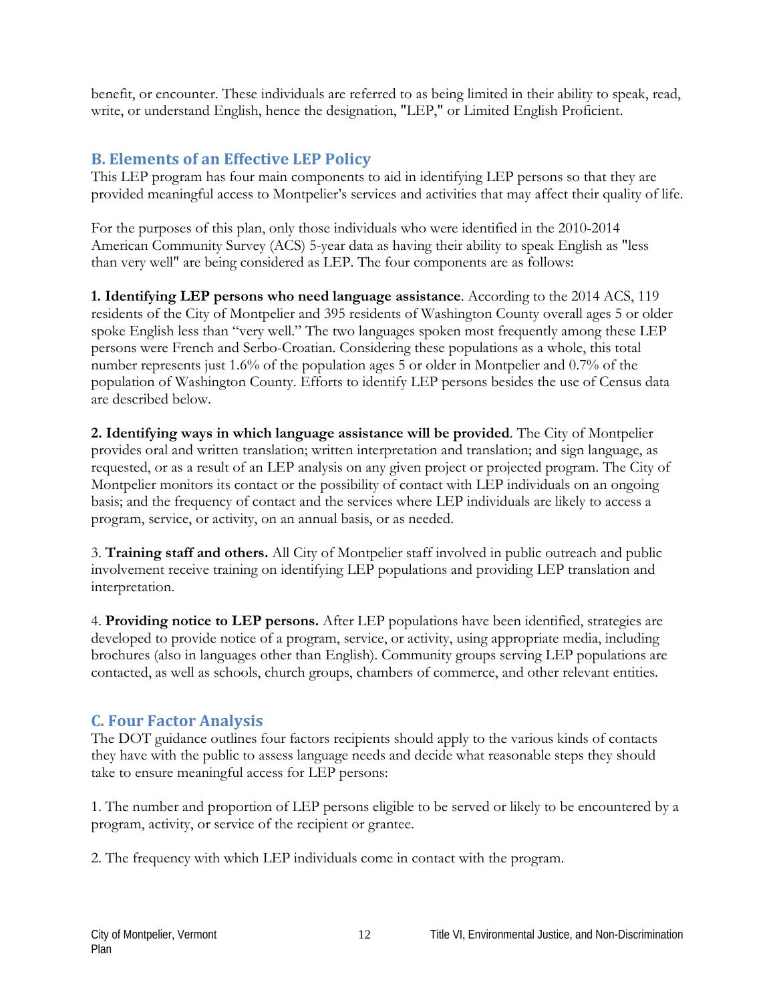benefit, or encounter. These individuals are referred to as being limited in their ability to speak, read, write, or understand English, hence the designation, "LEP," or Limited English Proficient.

### **B. Elements of an Effective LEP Policy**

This LEP program has four main components to aid in identifying LEP persons so that they are provided meaningful access to Montpelier's services and activities that may affect their quality of life.

For the purposes of this plan, only those individuals who were identified in the 2010-2014 American Community Survey (ACS) 5-year data as having their ability to speak English as "less than very well" are being considered as LEP. The four components are as follows:

**1. Identifying LEP persons who need language assistance**. According to the 2014 ACS, 119 residents of the City of Montpelier and 395 residents of Washington County overall ages 5 or older spoke English less than "very well." The two languages spoken most frequently among these LEP persons were French and Serbo-Croatian. Considering these populations as a whole, this total number represents just 1.6% of the population ages 5 or older in Montpelier and 0.7% of the population of Washington County. Efforts to identify LEP persons besides the use of Census data are described below.

**2. Identifying ways in which language assistance will be provided**. The City of Montpelier provides oral and written translation; written interpretation and translation; and sign language, as requested, or as a result of an LEP analysis on any given project or projected program. The City of Montpelier monitors its contact or the possibility of contact with LEP individuals on an ongoing basis; and the frequency of contact and the services where LEP individuals are likely to access a program, service, or activity, on an annual basis, or as needed.

3. **Training staff and others.** All City of Montpelier staff involved in public outreach and public involvement receive training on identifying LEP populations and providing LEP translation and interpretation.

4. **Providing notice to LEP persons.** After LEP populations have been identified, strategies are developed to provide notice of a program, service, or activity, using appropriate media, including brochures (also in languages other than English). Community groups serving LEP populations are contacted, as well as schools, church groups, chambers of commerce, and other relevant entities.

#### **C. Four Factor Analysis**

The DOT guidance outlines four factors recipients should apply to the various kinds of contacts they have with the public to assess language needs and decide what reasonable steps they should take to ensure meaningful access for LEP persons:

1. The number and proportion of LEP persons eligible to be served or likely to be encountered by a program, activity, or service of the recipient or grantee.

2. The frequency with which LEP individuals come in contact with the program.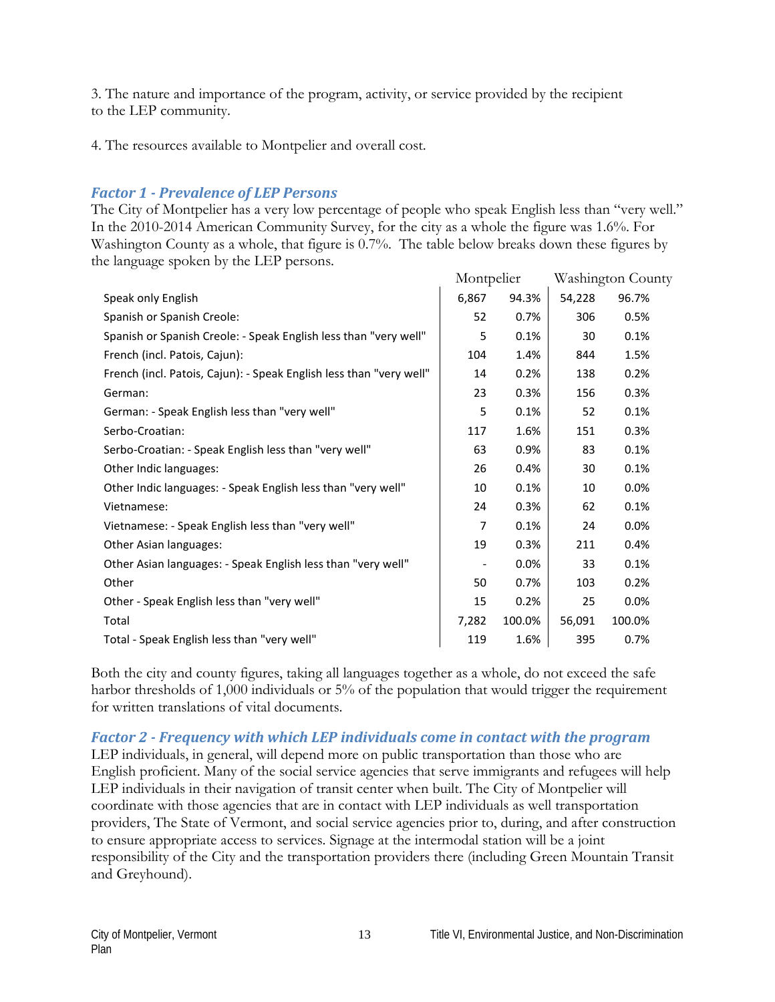3. The nature and importance of the program, activity, or service provided by the recipient to the LEP community.

4. The resources available to Montpelier and overall cost.

#### *Factor 1 - Prevalence of LEP Persons*

The City of Montpelier has a very low percentage of people who speak English less than "very well." In the 2010-2014 American Community Survey, for the city as a whole the figure was 1.6%. For Washington County as a whole, that figure is 0.7%. The table below breaks down these figures by the language spoken by the LEP persons.

|                                                                     | Montpelier |         |        | Washington County |
|---------------------------------------------------------------------|------------|---------|--------|-------------------|
| Speak only English                                                  | 6,867      | 94.3%   | 54,228 | 96.7%             |
| Spanish or Spanish Creole:                                          | 52         | 0.7%    | 306    | 0.5%              |
| Spanish or Spanish Creole: - Speak English less than "very well"    | 5          | 0.1%    | 30     | 0.1%              |
| French (incl. Patois, Cajun):                                       | 104        | 1.4%    | 844    | 1.5%              |
| French (incl. Patois, Cajun): - Speak English less than "very well" | 14         | 0.2%    | 138    | 0.2%              |
| German:                                                             | 23         | 0.3%    | 156    | 0.3%              |
| German: - Speak English less than "very well"                       | 5          | 0.1%    | 52     | 0.1%              |
| Serbo-Croatian:                                                     | 117        | 1.6%    | 151    | 0.3%              |
| Serbo-Croatian: - Speak English less than "very well"               | 63         | 0.9%    | 83     | 0.1%              |
| Other Indic languages:                                              | 26         | 0.4%    | 30     | 0.1%              |
| Other Indic languages: - Speak English less than "very well"        | 10         | 0.1%    | 10     | 0.0%              |
| Vietnamese:                                                         | 24         | 0.3%    | 62     | 0.1%              |
| Vietnamese: - Speak English less than "very well"                   | 7          | 0.1%    | 24     | $0.0\%$           |
| Other Asian languages:                                              | 19         | 0.3%    | 211    | 0.4%              |
| Other Asian languages: - Speak English less than "very well"        | -          | $0.0\%$ | 33     | 0.1%              |
| Other                                                               | 50         | 0.7%    | 103    | 0.2%              |
| Other - Speak English less than "very well"                         | 15         | 0.2%    | 25     | $0.0\%$           |
| Total                                                               | 7,282      | 100.0%  | 56,091 | 100.0%            |
| Total - Speak English less than "very well"                         | 119        | 1.6%    | 395    | 0.7%              |

Both the city and county figures, taking all languages together as a whole, do not exceed the safe harbor thresholds of 1,000 individuals or 5% of the population that would trigger the requirement for written translations of vital documents.

#### *Factor 2 - Frequency with which LEP individuals come in contact with the program*

LEP individuals, in general, will depend more on public transportation than those who are English proficient. Many of the social service agencies that serve immigrants and refugees will help LEP individuals in their navigation of transit center when built. The City of Montpelier will coordinate with those agencies that are in contact with LEP individuals as well transportation providers, The State of Vermont, and social service agencies prior to, during, and after construction to ensure appropriate access to services. Signage at the intermodal station will be a joint responsibility of the City and the transportation providers there (including Green Mountain Transit and Greyhound).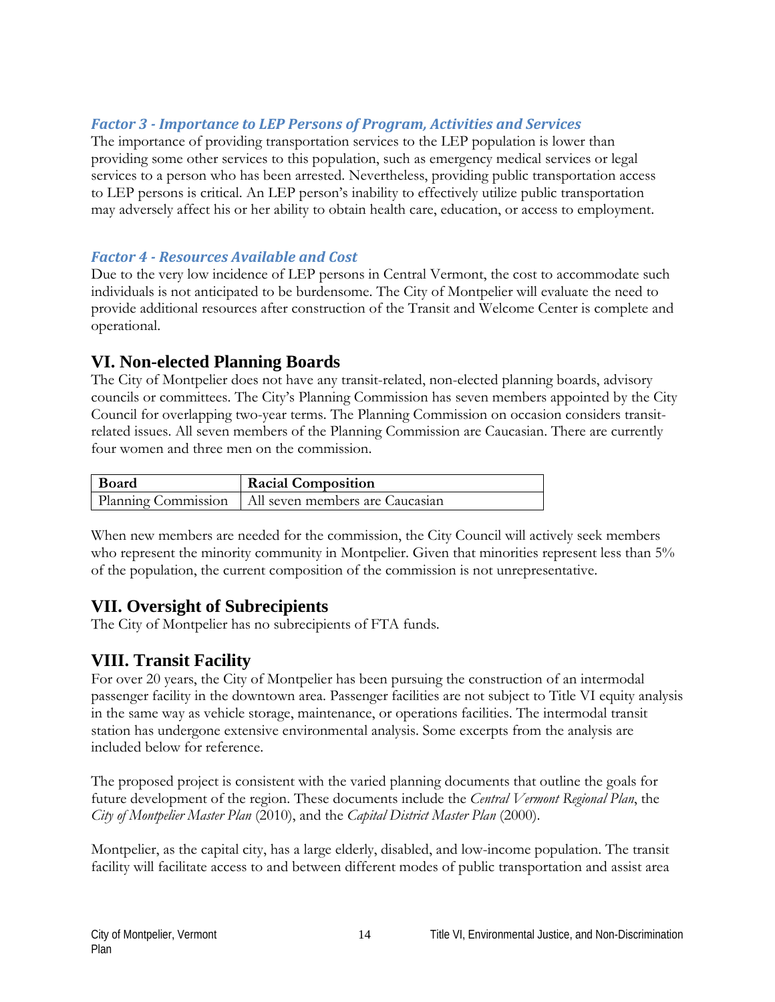#### *Factor 3 - Importance to LEP Persons of Program, Activities and Services*

The importance of providing transportation services to the LEP population is lower than providing some other services to this population, such as emergency medical services or legal services to a person who has been arrested. Nevertheless, providing public transportation access to LEP persons is critical. An LEP person's inability to effectively utilize public transportation may adversely affect his or her ability to obtain health care, education, or access to employment.

#### *Factor 4 - Resources Available and Cost*

Due to the very low incidence of LEP persons in Central Vermont, the cost to accommodate such individuals is not anticipated to be burdensome. The City of Montpelier will evaluate the need to provide additional resources after construction of the Transit and Welcome Center is complete and operational.

### **VI. Non-elected Planning Boards**

The City of Montpelier does not have any transit-related, non-elected planning boards, advisory councils or committees. The City's Planning Commission has seven members appointed by the City Council for overlapping two-year terms. The Planning Commission on occasion considers transitrelated issues. All seven members of the Planning Commission are Caucasian. There are currently four women and three men on the commission.

| Board | <b>Racial Composition</b>                             |
|-------|-------------------------------------------------------|
|       | Planning Commission   All seven members are Caucasian |

When new members are needed for the commission, the City Council will actively seek members who represent the minority community in Montpelier. Given that minorities represent less than 5% of the population, the current composition of the commission is not unrepresentative.

### **VII. Oversight of Subrecipients**

The City of Montpelier has no subrecipients of FTA funds.

## **VIII. Transit Facility**

For over 20 years, the City of Montpelier has been pursuing the construction of an intermodal passenger facility in the downtown area. Passenger facilities are not subject to Title VI equity analysis in the same way as vehicle storage, maintenance, or operations facilities. The intermodal transit station has undergone extensive environmental analysis. Some excerpts from the analysis are included below for reference.

The proposed project is consistent with the varied planning documents that outline the goals for future development of the region. These documents include the *Central Vermont Regional Plan*, the *City of Montpelier Master Plan* (2010), and the *Capital District Master Plan* (2000).

Montpelier, as the capital city, has a large elderly, disabled, and low-income population. The transit facility will facilitate access to and between different modes of public transportation and assist area